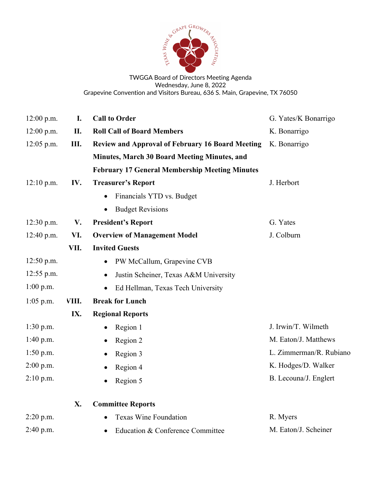

TWGGA Board of Directors Meeting Agenda Wednesday, June 8, 2022 Grapevine Convention and Visitors Bureau, 636 S. Main, Grapevine, TX 76050

| $12:00$ p.m. | I.    | <b>Call to Order</b>                                    | G. Yates/K Bonarrigo    |
|--------------|-------|---------------------------------------------------------|-------------------------|
| 12:00 p.m.   | II.   | <b>Roll Call of Board Members</b>                       | K. Bonarrigo            |
| $12:05$ p.m. | Ш.    | <b>Review and Approval of February 16 Board Meeting</b> | K. Bonarrigo            |
|              |       | Minutes, March 30 Board Meeting Minutes, and            |                         |
|              |       | <b>February 17 General Membership Meeting Minutes</b>   |                         |
| $12:10$ p.m. | IV.   | <b>Treasurer's Report</b>                               | J. Herbort              |
|              |       | Financials YTD vs. Budget<br>$\bullet$                  |                         |
|              |       | <b>Budget Revisions</b><br>$\bullet$                    |                         |
| 12:30 p.m.   | V.    | <b>President's Report</b>                               | G. Yates                |
| 12:40 p.m.   | VI.   | <b>Overview of Management Model</b>                     | J. Colburn              |
|              | VII.  | <b>Invited Guests</b>                                   |                         |
| $12:50$ p.m. |       | PW McCallum, Grapevine CVB<br>$\bullet$                 |                         |
| 12:55 p.m.   |       | Justin Scheiner, Texas A&M University<br>$\bullet$      |                         |
| $1:00$ p.m.  |       | Ed Hellman, Texas Tech University<br>$\bullet$          |                         |
| $1:05$ p.m.  | VIII. | <b>Break for Lunch</b>                                  |                         |
|              | IX.   | <b>Regional Reports</b>                                 |                         |
| $1:30$ p.m.  |       | Region 1<br>$\bullet$                                   | J. Irwin/T. Wilmeth     |
| 1:40 p.m.    |       | Region 2<br>$\bullet$                                   | M. Eaton/J. Matthews    |
| $1:50$ p.m.  |       | Region 3<br>$\bullet$                                   | L. Zimmerman/R. Rubiano |
| $2:00$ p.m.  |       | Region 4                                                | K. Hodges/D. Walker     |
| $2:10$ p.m.  |       | Region 5<br>$\bullet$                                   | B. Lecouna/J. Englert   |
|              | X.    | <b>Committee Reports</b>                                |                         |
| $2:20$ p.m.  |       | <b>Texas Wine Foundation</b>                            | R. Myers                |
| 2:40 p.m.    |       | Education & Conference Committee<br>$\bullet$           | M. Eaton/J. Scheiner    |